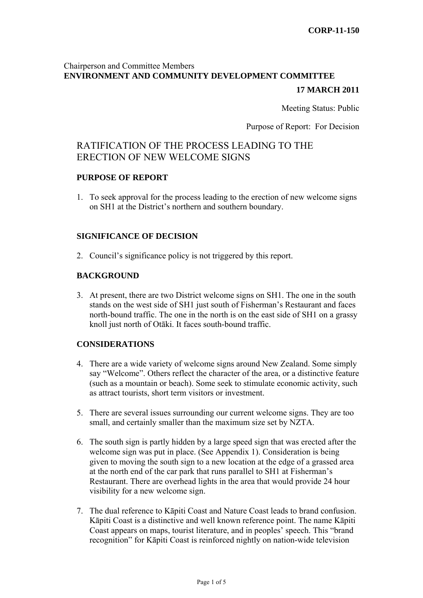## Chairperson and Committee Members **ENVIRONMENT AND COMMUNITY DEVELOPMENT COMMITTEE**

### **17 MARCH 2011**

Meeting Status: Public

Purpose of Report: For Decision

## RATIFICATION OF THE PROCESS LEADING TO THE ERECTION OF NEW WELCOME SIGNS

#### **PURPOSE OF REPORT**

1. To seek approval for the process leading to the erection of new welcome signs on SH1 at the District's northern and southern boundary.

#### **SIGNIFICANCE OF DECISION**

2. Council's significance policy is not triggered by this report.

#### **BACKGROUND**

3. At present, there are two District welcome signs on SH1. The one in the south stands on the west side of SH1 just south of Fisherman's Restaurant and faces north-bound traffic. The one in the north is on the east side of SH1 on a grassy knoll just north of Otāki. It faces south-bound traffic.

#### **CONSIDERATIONS**

- 4. There are a wide variety of welcome signs around New Zealand. Some simply say "Welcome". Others reflect the character of the area, or a distinctive feature (such as a mountain or beach). Some seek to stimulate economic activity, such as attract tourists, short term visitors or investment.
- 5. There are several issues surrounding our current welcome signs. They are too small, and certainly smaller than the maximum size set by NZTA.
- 6. The south sign is partly hidden by a large speed sign that was erected after the welcome sign was put in place. (See Appendix 1). Consideration is being given to moving the south sign to a new location at the edge of a grassed area at the north end of the car park that runs parallel to SH1 at Fisherman's Restaurant. There are overhead lights in the area that would provide 24 hour visibility for a new welcome sign.
- 7. The dual reference to Kāpiti Coast and Nature Coast leads to brand confusion. Kāpiti Coast is a distinctive and well known reference point. The name Kāpiti Coast appears on maps, tourist literature, and in peoples' speech. This "brand recognition" for Kāpiti Coast is reinforced nightly on nation-wide television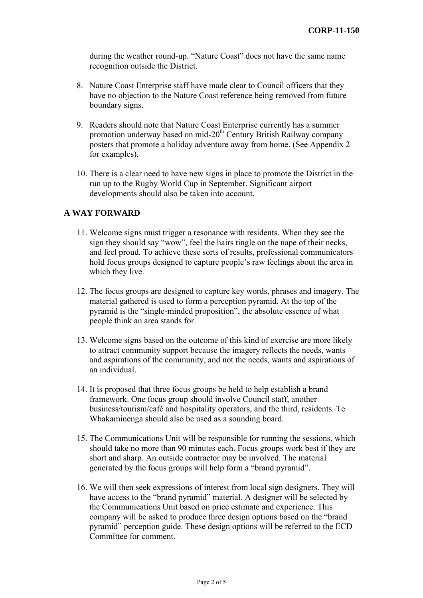during the weather round-up. "Nature Coast" does not have the same name recognition outside the District.

- 8. Nature Coast Enterprise staff have made clear to Council officers that they have no objection to the Nature Coast reference being removed from future boundary signs.
- 9. Readers should note that Nature Coast Enterprise currently has a summer promotion underway based on mid-20<sup>th</sup> Century British Railway company posters that promote a holiday adventure away from home. (See Appendix 2 for examples).
- 10. There is a clear need to have new signs in place to promote the District in the run up to the Rugby World Cup in September. Significant airport developments should also be taken into account.

#### **A WAY FORWARD**

- 11. Welcome signs must trigger a resonance with residents. When they see the sign they should say "wow", feel the hairs tingle on the nape of their necks, and feel proud. To achieve these sorts of results, professional communicators hold focus groups designed to capture people's raw feelings about the area in which they live.
- 12. The focus groups are designed to capture key words, phrases and imagery. The material gathered is used to form a perception pyramid. At the top of the pyramid is the "single-minded proposition", the absolute essence of what people think an area stands for.
- 13. Welcome signs based on the outcome of this kind of exercise are more likely to attract community support because the imagery reflects the needs, wants and aspirations of the community, and not the needs, wants and aspirations of an individual.
- 14. It is proposed that three focus groups be held to help establish a brand framework. One focus group should involve Council staff, another business/tourism/café and hospitality operators, and the third, residents. Te Whakaminenga should also be used as a sounding board.
- 15. The Communications Unit will be responsible for running the sessions, which should take no more than 90 minutes each. Focus groups work best if they are short and sharp. An outside contractor may be involved. The material generated by the focus groups will help form a "brand pyramid".
- 16. We will then seek expressions of interest from local sign designers. They will have access to the "brand pyramid" material. A designer will be selected by the Communications Unit based on price estimate and experience. This company will be asked to produce three design options based on the "brand pyramid" perception guide. These design options will be referred to the ECD Committee for comment.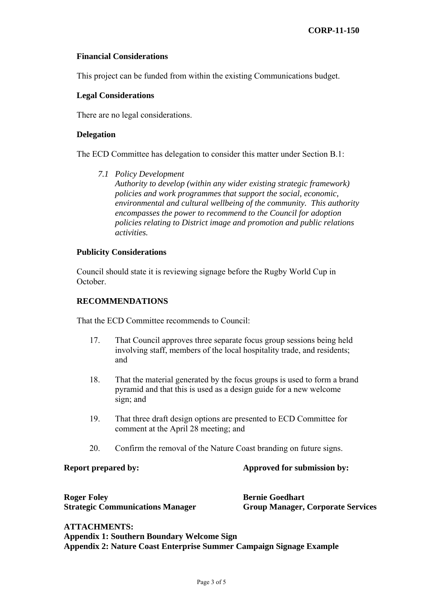#### **Financial Considerations**

This project can be funded from within the existing Communications budget.

#### **Legal Considerations**

There are no legal considerations.

#### **Delegation**

The ECD Committee has delegation to consider this matter under Section B.1:

*7.1 Policy Development Authority to develop (within any wider existing strategic framework) policies and work programmes that support the social, economic, environmental and cultural wellbeing of the community. This authority encompasses the power to recommend to the Council for adoption policies relating to District image and promotion and public relations activities.* 

### **Publicity Considerations**

Council should state it is reviewing signage before the Rugby World Cup in October.

#### **RECOMMENDATIONS**

That the ECD Committee recommends to Council:

- 17. That Council approves three separate focus group sessions being held involving staff, members of the local hospitality trade, and residents; and
- 18. That the material generated by the focus groups is used to form a brand pyramid and that this is used as a design guide for a new welcome sign; and
- 19. That three draft design options are presented to ECD Committee for comment at the April 28 meeting; and
- 20. Confirm the removal of the Nature Coast branding on future signs.

**Report prepared by:**  $\qquad \qquad \text{Approved for submission by:}$ 

**Roger Foley Bernie Goedhart 1986** 

**Strategic Communications Manager Group Manager, Corporate Services** 

**ATTACHMENTS: Appendix 1: Southern Boundary Welcome Sign Appendix 2: Nature Coast Enterprise Summer Campaign Signage Example**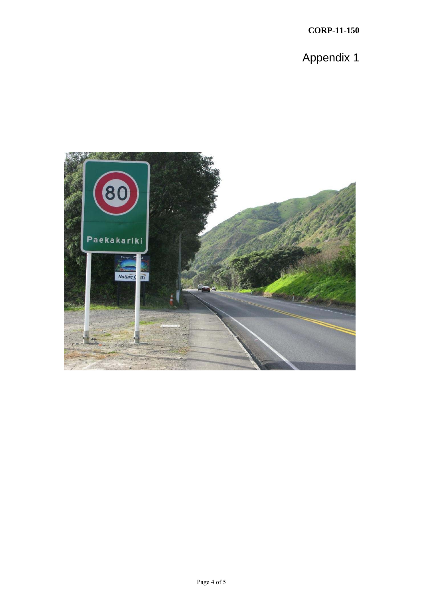Appendix 1